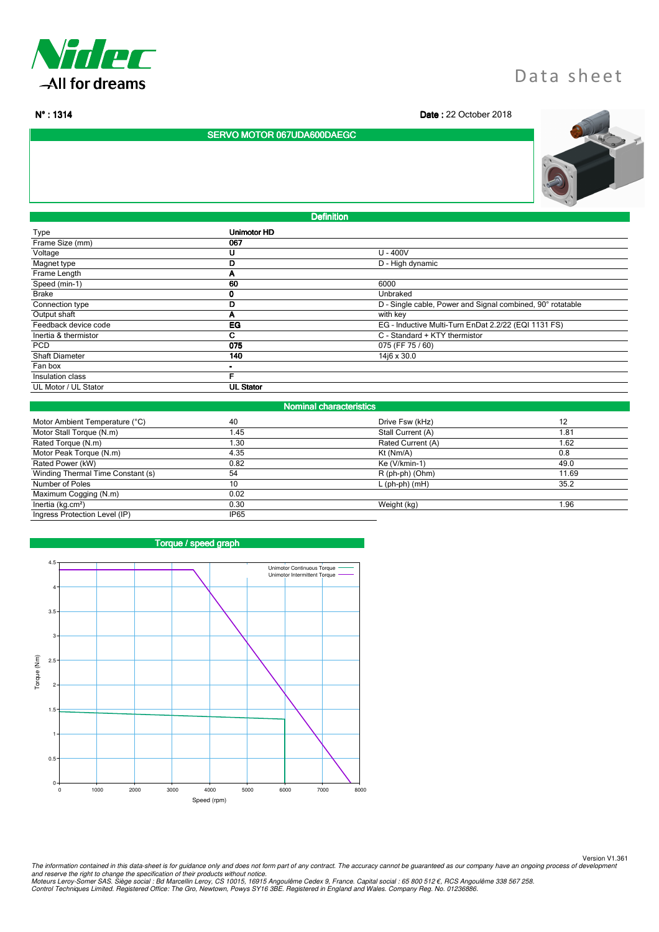

l

# Data sheet

N° : 1314 **Date** : 22 October 2018

SERVO MOTOR 067UDA600DAEGC



**Definition** 

| Type                  | Unimotor HD      |                                                            |  |
|-----------------------|------------------|------------------------------------------------------------|--|
| Frame Size (mm)       | 067              |                                                            |  |
| Voltage               | U                | $U - 400V$                                                 |  |
| Magnet type           | D                | D - High dynamic                                           |  |
| Frame Length          | A                |                                                            |  |
| Speed (min-1)         | 60               | 6000                                                       |  |
| <b>Brake</b>          | u                | Unbraked                                                   |  |
| Connection type       | D                | D - Single cable, Power and Signal combined, 90° rotatable |  |
| Output shaft          | А                | with key                                                   |  |
| Feedback device code  | EG               | EG - Inductive Multi-Turn EnDat 2.2/22 (EQI 1131 FS)       |  |
| Inertia & thermistor  | С                | C - Standard + KTY thermistor                              |  |
| <b>PCD</b>            | 075              | 075 (FF 75 / 60)                                           |  |
| <b>Shaft Diameter</b> | 140              | 14j6 x 30.0                                                |  |
| Fan box               |                  |                                                            |  |
| Insulation class      |                  |                                                            |  |
| UL Motor / UL Stator  | <b>UL Stator</b> |                                                            |  |
|                       |                  |                                                            |  |

| <b>Nominal characteristics</b>                    |                  |                   |       |  |
|---------------------------------------------------|------------------|-------------------|-------|--|
| Motor Ambient Temperature (°C)                    | 40               | Drive Fsw (kHz)   | 12    |  |
| Motor Stall Torque (N.m)                          | 1.45             | Stall Current (A) | 1.81  |  |
| Rated Torque (N.m)                                | 1.30             | Rated Current (A) | 1.62  |  |
| Motor Peak Torque (N.m)                           | 4.35             | $Kt$ (Nm/A)       | 0.8   |  |
| Rated Power (kW)                                  | 0.82             | Ke (V/kmin-1)     | 49.0  |  |
| Winding Thermal Time Constant (s)                 | 54               | R (ph-ph) (Ohm)   | 11.69 |  |
| Number of Poles                                   | 10               | $L$ (ph-ph) (mH)  | 35.2  |  |
| Maximum Cogging (N.m)                             | 0.02             |                   |       |  |
| $\overline{\text{Inertia}}$ (kg.cm <sup>2</sup> ) | 0.30             | Weight (kg)       | 1.96  |  |
| Ingress Protection Level (IP)                     | IP <sub>65</sub> |                   |       |  |



Version V1.361 The information contained in this data-sheet is for guidance only and does not form part of any contract. The accuracy cannot be guaranteed as our company have an ongoing process of development<br>and reserve the right to ch